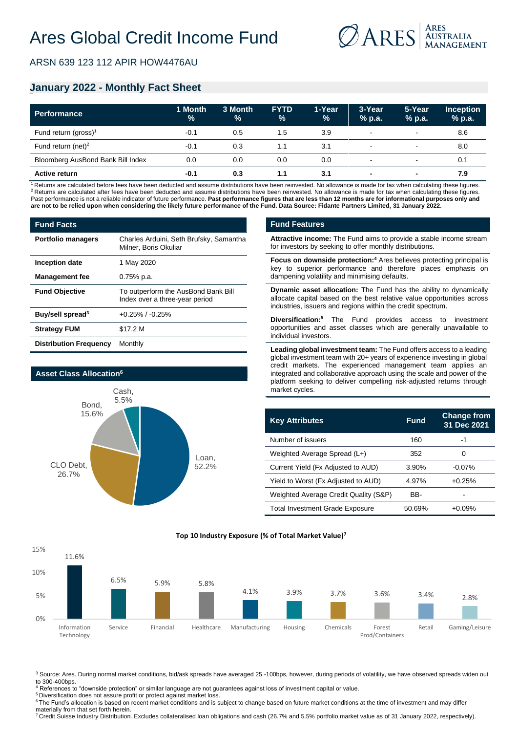

ARSN 639 123 112 APIR HOW4476AU

# **January 2022 - Monthly Fact Sheet**

| <b>Performance</b>                | 1 Month<br>$\frac{9}{6}$ | 3 Month<br>% | <b>FYTD</b><br>% | 1-Year<br>$\%$ | 3-Year<br>$%$ p.a.       | 5-Year<br>% p.a.         | <b>Inception</b><br>$%$ p.a. |
|-----------------------------------|--------------------------|--------------|------------------|----------------|--------------------------|--------------------------|------------------------------|
| Fund return (gross) <sup>1</sup>  | $-0.1$                   | 0.5          | 1.5              | 3.9            | $\,$                     | $\blacksquare$           | 8.6                          |
| Fund return (net) $2$             | $-0.1$                   | 0.3          |                  | 3.1            | $\,$ $\,$                | $\blacksquare$           | 8.0                          |
| Bloomberg AusBond Bank Bill Index | 0.0                      | 0.0          | 0.0              | 0.0            | . .                      | $\overline{\phantom{a}}$ | 0.1                          |
| <b>Active return</b>              | $-0.1$                   | 0.3          | 1.1              | 3.1            | $\overline{\phantom{0}}$ | $\overline{\phantom{a}}$ | 7.9                          |

<sup>1</sup>Returns are calculated before fees have been deducted and assume distributions have been reinvested. No allowance is made for tax when calculating these figures. <sup>2</sup> Returns are calculated after fees have been deducted and assume distributions have been reinvested. No allowance is made for tax when calculating these figures. Past performance is not a reliable indicator of future performance. Past performance figures that are less than 12 months are for informational purposes only and **are not to be relied upon when considering the likely future performance of the Fund. Data Source: Fidante Partners Limited, 31 January 2022.**

| <b>Fund Facts</b>             |                                                                       |  |  |  |
|-------------------------------|-----------------------------------------------------------------------|--|--|--|
| <b>Portfolio managers</b>     | Charles Arduini, Seth Brufsky, Samantha<br>Milner, Boris Okuliar      |  |  |  |
| Inception date                | 1 May 2020                                                            |  |  |  |
| <b>Management fee</b>         | 0.75% p.a.                                                            |  |  |  |
| <b>Fund Objective</b>         | To outperform the AusBond Bank Bill<br>Index over a three-year period |  |  |  |
| Buy/sell spread <sup>3</sup>  | $+0.25\%$ / $-0.25\%$                                                 |  |  |  |
| <b>Strategy FUM</b>           | \$17.2 M                                                              |  |  |  |
| <b>Distribution Frequency</b> | Monthly                                                               |  |  |  |



#### **Fund Features**

**Attractive income:** The Fund aims to provide a stable income stream for investors by seeking to offer monthly distributions.

**Focus on downside protection:<sup>4</sup>** Ares believes protecting principal is key to superior performance and therefore places emphasis on dampening volatility and minimising defaults.

**Dynamic asset allocation:** The Fund has the ability to dynamically allocate capital based on the best relative value opportunities across industries, issuers and regions within the credit spectrum.

**Diversification:<sup>5</sup>** The Fund provides access to investment opportunities and asset classes which are generally unavailable to individual investors.

**Leading global investment team:** The Fund offers access to a leading global investment team with 20+ years of experience investing in global credit markets. The experienced management team applies an integrated and collaborative approach using the scale and power of the platform seeking to deliver compelling risk-adjusted returns through market cycles.

| <b>Key Attributes</b>                  | <b>Fund</b> | <b>Change from</b><br>31 Dec 2021 |
|----------------------------------------|-------------|-----------------------------------|
| Number of issuers                      | 160         | -1                                |
| Weighted Average Spread (L+)           | 352         | O                                 |
| Current Yield (Fx Adjusted to AUD)     | 3.90%       | $-0.07\%$                         |
| Yield to Worst (Fx Adjusted to AUD)    | 4.97%       | $+0.25%$                          |
| Weighted Average Credit Quality (S&P)  | BB-         |                                   |
| <b>Total Investment Grade Exposure</b> | 50.69%      | $+0.09%$                          |



**Top 10 Industry Exposure (% of Total Market Value)7**

<sup>3</sup> Source: Ares. During normal market conditions, bid/ask spreads have averaged 25 -100bps, however, during periods of volatility, we have observed spreads widen out to 300-400bps.

<sup>4</sup> References to "downside protection" or similar language are not guarantees against loss of investment capital or value.

<sup>5</sup> Diversification does not assure profit or protect against market loss

<sup>6</sup> The Fund's allocation is based on recent market conditions and is subject to change based on future market conditions at the time of investment and may differ materially from that set forth herein.

<sup>7</sup> Credit Suisse Industry Distribution. Excludes collateralised loan obligations and cash (26.7% and 5.5% portfolio market value as of 31 January 2022, respectively).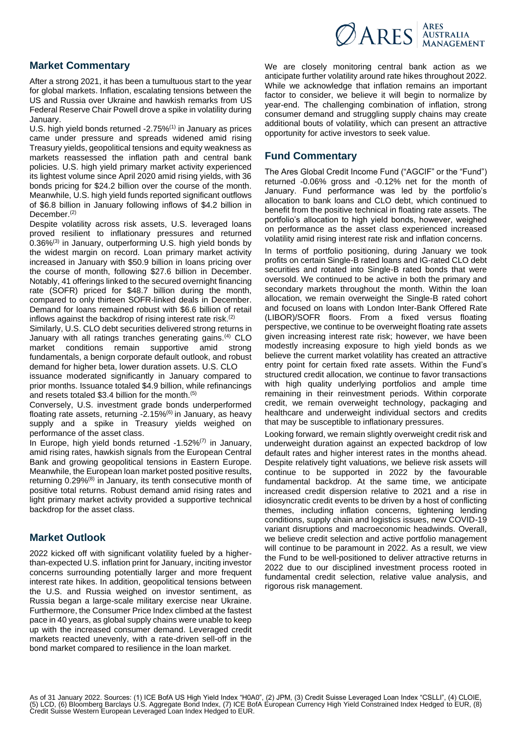

## **Market Commentary**

After a strong 2021, it has been a tumultuous start to the year for global markets. Inflation, escalating tensions between the US and Russia over Ukraine and hawkish remarks from US Federal Reserve Chair Powell drove a spike in volatility during January.

U.S. high yield bonds returned -2.75%<sup>(1)</sup> in January as prices came under pressure and spreads widened amid rising Treasury yields, geopolitical tensions and equity weakness as markets reassessed the inflation path and central bank policies. U.S. high yield primary market activity experienced its lightest volume since April 2020 amid rising yields, with 36 bonds pricing for \$24.2 billion over the course of the month. Meanwhile, U.S. high yield funds reported significant outflows of \$6.8 billion in January following inflows of \$4.2 billion in December.<sup>(2)</sup>

Despite volatility across risk assets, U.S. leveraged loans proved resilient to inflationary pressures and returned 0.36%(3) in January, outperforming U.S. high yield bonds by the widest margin on record. Loan primary market activity increased in January with \$50.9 billion in loans pricing over the course of month, following \$27.6 billion in December. Notably, 41 offerings linked to the secured overnight financing rate (SOFR) priced for \$48.7 billion during the month, compared to only thirteen SOFR-linked deals in December. Demand for loans remained robust with \$6.6 billion of retail inflows against the backdrop of rising interest rate risk.<sup>(2)</sup>

Similarly, U.S. CLO debt securities delivered strong returns in January with all ratings tranches generating gains.<sup>(4)</sup> CLO market conditions remain supportive amid strong fundamentals, a benign corporate default outlook, and robust demand for higher beta, lower duration assets. U.S. CLO

issuance moderated significantly in January compared to prior months. Issuance totaled \$4.9 billion, while refinancings and resets totaled \$3.4 billion for the month.<sup>(5)</sup>

Conversely, U.S. investment grade bonds underperformed floating rate assets, returning -2.15%<sup>(6)</sup> in January, as heavy supply and a spike in Treasury yields weighed on performance of the asset class.

In Europe, high yield bonds returned  $-1.52\%$ <sup>(7)</sup> in January, amid rising rates, hawkish signals from the European Central Bank and growing geopolitical tensions in Eastern Europe. Meanwhile, the European loan market posted positive results, returning  $0.29\%$ <sup>(8)</sup> in January, its tenth consecutive month of positive total returns. Robust demand amid rising rates and light primary market activity provided a supportive technical backdrop for the asset class.

#### **Market Outlook**

2022 kicked off with significant volatility fueled by a higherthan-expected U.S. inflation print for January, inciting investor concerns surrounding potentially larger and more frequent interest rate hikes. In addition, geopolitical tensions between the U.S. and Russia weighed on investor sentiment, as Russia began a large-scale military exercise near Ukraine. Furthermore, the Consumer Price Index climbed at the fastest pace in 40 years, as global supply chains were unable to keep up with the increased consumer demand. Leveraged credit markets reacted unevenly, with a rate-driven sell-off in the bond market compared to resilience in the loan market.

We are closely monitoring central bank action as we anticipate further volatility around rate hikes throughout 2022. While we acknowledge that inflation remains an important factor to consider, we believe it will begin to normalize by year-end. The challenging combination of inflation, strong consumer demand and struggling supply chains may create additional bouts of volatility, which can present an attractive opportunity for active investors to seek value.

### **Fund Commentary**

The Ares Global Credit Income Fund ("AGCIF" or the "Fund") returned -0.06% gross and -0.12% net for the month of January. Fund performance was led by the portfolio's allocation to bank loans and CLO debt, which continued to benefit from the positive technical in floating rate assets. The portfolio's allocation to high yield bonds, however, weighed on performance as the asset class experienced increased volatility amid rising interest rate risk and inflation concerns.

In terms of portfolio positioning, during January we took profits on certain Single-B rated loans and IG-rated CLO debt securities and rotated into Single-B rated bonds that were oversold. We continued to be active in both the primary and secondary markets throughout the month. Within the loan allocation, we remain overweight the Single-B rated cohort and focused on loans with London Inter-Bank Offered Rate (LIBOR)/SOFR floors. From a fixed versus floating perspective, we continue to be overweight floating rate assets given increasing interest rate risk; however, we have been modestly increasing exposure to high yield bonds as we believe the current market volatility has created an attractive entry point for certain fixed rate assets. Within the Fund's structured credit allocation, we continue to favor transactions with high quality underlying portfolios and ample time remaining in their reinvestment periods. Within corporate credit, we remain overweight technology, packaging and healthcare and underweight individual sectors and credits that may be susceptible to inflationary pressures.

Looking forward, we remain slightly overweight credit risk and underweight duration against an expected backdrop of low default rates and higher interest rates in the months ahead. Despite relatively tight valuations, we believe risk assets will continue to be supported in 2022 by the favourable fundamental backdrop. At the same time, we anticipate increased credit dispersion relative to 2021 and a rise in idiosyncratic credit events to be driven by a host of conflicting themes, including inflation concerns, tightening lending conditions, supply chain and logistics issues, new COVID-19 variant disruptions and macroeconomic headwinds. Overall, we believe credit selection and active portfolio management will continue to be paramount in 2022. As a result, we view the Fund to be well-positioned to deliver attractive returns in 2022 due to our disciplined investment process rooted in fundamental credit selection, relative value analysis, and rigorous risk management.